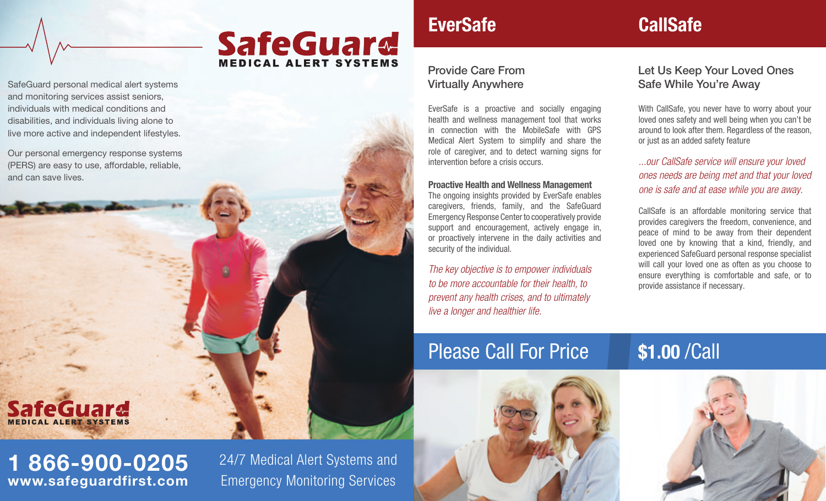SafeGuard personal medical alert systems and monitoring services assist seniors, individuals with medical conditions and disabilities, and individuals living alone to live more active and independent lifestyles.

Our personal emergency response systems (PERS) are easy to use, affordable, reliable, and can save lives.

# **SafeGuard**

## 1 866-900-0205 www.safeguardfirst.com

24/7 Medical Alert Systems and Emergency Monitoring Services

**SafeGuard** 

**MEDICAL ALERT SYSTEMS** 

## **EverSafe** CallSafe

### Provide Care From Virtually Anywhere

EverSafe is a proactive and socially engaging health and wellness management tool that works in connection with the MobileSafe with GPS Medical Alert System to simplify and share the role of caregiver, and to detect warning signs for intervention before a crisis occurs.

### Proactive Health and Wellness Management

The ongoing insights provided by EverSafe enables caregivers, friends, family, and the SafeGuard Emergency Response Center to cooperatively provide support and encouragement, actively engage in, or proactively intervene in the daily activities and security of the individual.

*The key objective is to empower individuals to be more accountable for their health, to prevent any health crises, and to ultimately live a longer and healthier life.*

## Please Call For Price \$1.00 /Call



### Let Us Keep Your Loved Ones Safe While You're Away

With CallSafe, you never have to worry about your loved ones safety and well being when you can't be around to look after them. Regardless of the reason, or just as an added safety feature

*...our CallSafe service will ensure your loved ones needs are being met and that your loved one is safe and at ease while you are away.*

CallSafe is an affordable monitoring service that provides caregivers the freedom, convenience, and peace of mind to be away from their dependent loved one by knowing that a kind, friendly, and experienced SafeGuard personal response specialist will call your loved one as often as you choose to ensure everything is comfortable and safe, or to provide assistance if necessary.